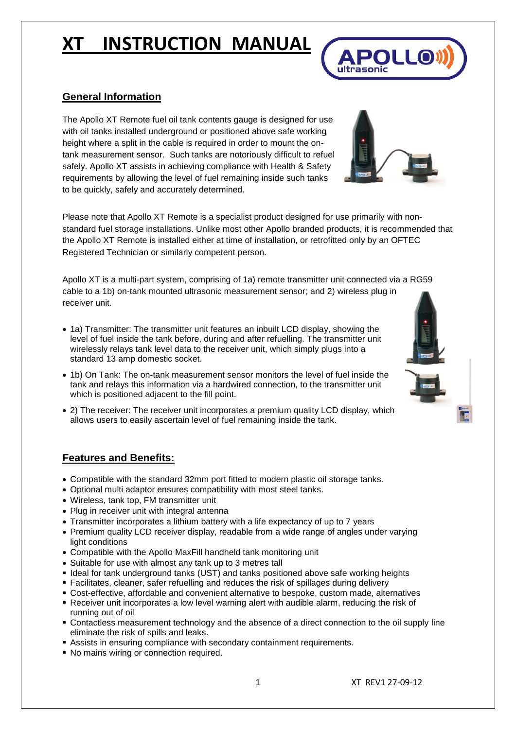## **General Information**

The Apollo XT Remote fuel oil tank contents gauge is designed for use with oil tanks installed underground or positioned above safe working height where a split in the cable is required in order to mount the ontank measurement sensor. Such tanks are notoriously difficult to refuel safely. Apollo XT assists in achieving compliance with Health & Safety requirements by allowing the level of fuel remaining inside such tanks to be quickly, safely and accurately determined.

Please note that Apollo XT Remote is a specialist product designed for use primarily with nonstandard fuel storage installations. Unlike most other Apollo branded products, it is recommended that the Apollo XT Remote is installed either at time of installation, or retrofitted only by an OFTEC Registered Technician or similarly competent person.

Apollo XT is a multi-part system, comprising of 1a) remote transmitter unit connected via a RG59 cable to a 1b) on-tank mounted ultrasonic measurement sensor; and 2) wireless plug in receiver unit.

- 1a) Transmitter: The transmitter unit features an inbuilt LCD display, showing the level of fuel inside the tank before, during and after refuelling. The transmitter unit wirelessly relays tank level data to the receiver unit, which simply plugs into a standard 13 amp domestic socket.
- 1b) On Tank: The on-tank measurement sensor monitors the level of fuel inside the tank and relays this information via a hardwired connection, to the transmitter unit which is positioned adjacent to the fill point.
- 2) The receiver: The receiver unit incorporates a premium quality LCD display, which allows users to easily ascertain level of fuel remaining inside the tank.

## **Features and Benefits:**

- Compatible with the standard 32mm port fitted to modern plastic oil storage tanks.
- Optional multi adaptor ensures compatibility with most steel tanks.
- Wireless, tank top, FM transmitter unit
- Plug in receiver unit with integral antenna
- Transmitter incorporates a lithium battery with a life expectancy of up to 7 years
- Premium quality LCD receiver display, readable from a wide range of angles under varying light conditions
- Compatible with the Apollo MaxFill handheld tank monitoring unit
- Suitable for use with almost any tank up to 3 metres tall
- Ideal for tank underground tanks (UST) and tanks positioned above safe working heights
- Facilitates, cleaner, safer refuelling and reduces the risk of spillages during delivery
- Cost-effective, affordable and convenient alternative to bespoke, custom made, alternatives
- Receiver unit incorporates a low level warning alert with audible alarm, reducing the risk of running out of oil
- Contactless measurement technology and the absence of a direct connection to the oil supply line eliminate the risk of spills and leaks.
- Assists in ensuring compliance with secondary containment requirements.
- No mains wiring or connection required.





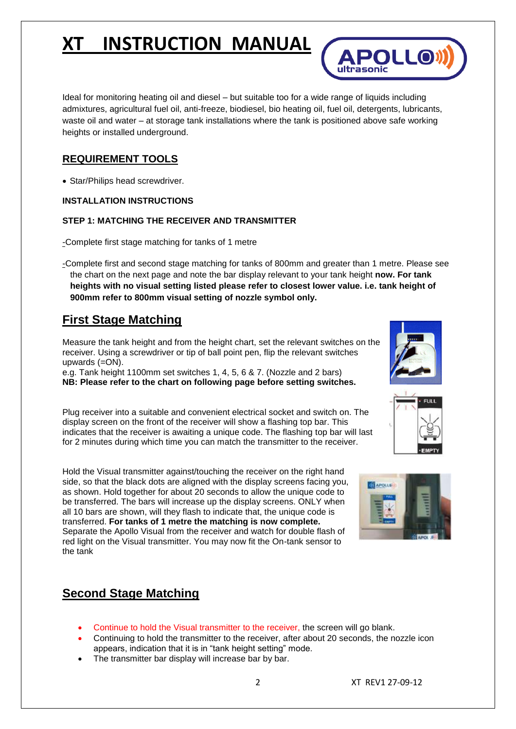

## **REQUIREMENT TOOLS**

• Star/Philips head screwdriver.

### **INSTALLATION INSTRUCTIONS**

#### **STEP 1: MATCHING THE RECEIVER AND TRANSMITTER**

-Complete first stage matching for tanks of 1 metre

-Complete first and second stage matching for tanks of 800mm and greater than 1 metre. Please see the chart on the next page and note the bar display relevant to your tank height **now. For tank heights with no visual setting listed please refer to closest lower value. i.e. tank height of 900mm refer to 800mm visual setting of nozzle symbol only.** 

## **First Stage Matching**

Measure the tank height and from the height chart, set the relevant switches on the receiver. Using a screwdriver or tip of ball point pen, flip the relevant switches upwards (=ON).

e.g. Tank height 1100mm set switches 1, 4, 5, 6 & 7. (Nozzle and 2 bars) **NB: Please refer to the chart on following page before setting switches.**

Plug receiver into a suitable and convenient electrical socket and switch on. The display screen on the front of the receiver will show a flashing top bar. This indicates that the receiver is awaiting a unique code. The flashing top bar will last for 2 minutes during which time you can match the transmitter to the receiver.

Hold the Visual transmitter against/touching the receiver on the right hand side, so that the black dots are aligned with the display screens facing you, as shown. Hold together for about 20 seconds to allow the unique code to be transferred. The bars will increase up the display screens. ONLY when all 10 bars are shown, will they flash to indicate that, the unique code is transferred. **For tanks of 1 metre the matching is now complete.**  Separate the Apollo Visual from the receiver and watch for double flash of red light on the Visual transmitter. You may now fit the On-tank sensor to the tank

## **Second Stage Matching**

- Continue to hold the Visual transmitter to the receiver, the screen will go blank.
- Continuing to hold the transmitter to the receiver, after about 20 seconds, the nozzle icon appears, indication that it is in "tank height setting" mode.
- The transmitter bar display will increase bar by bar.



**APOLLO** 



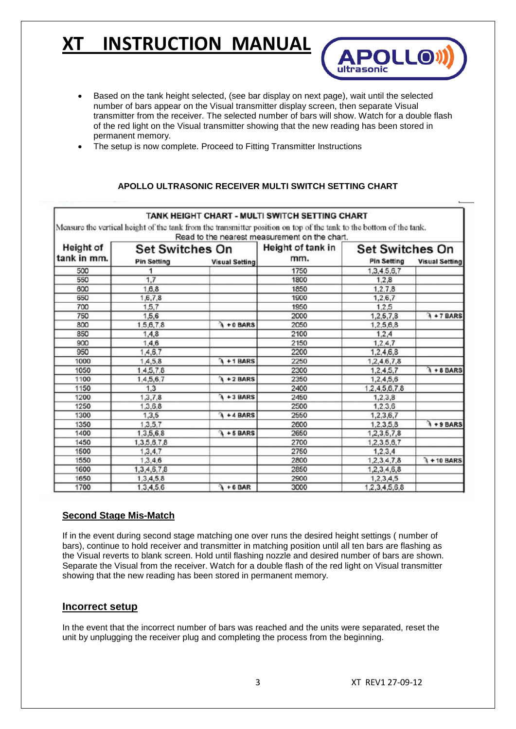- Based on the tank height selected, (see bar display on next page), wait until the selected number of bars appear on the Visual transmitter display screen, then separate Visual transmitter from the receiver. The selected number of bars will show. Watch for a double flash of the red light on the Visual transmitter showing that the new reading has been stored in permanent memory.
- The setup is now complete. Proceed to Fitting Transmitter Instructions

### **APOLLO ULTRASONIC RECEIVER MULTI SWITCH SETTING CHART**

|                                 |                        |                       | TANK HEIGHT CHART - MULTI SWITCH SETTING CHART                                                                                                                       |                        |                       |
|---------------------------------|------------------------|-----------------------|----------------------------------------------------------------------------------------------------------------------------------------------------------------------|------------------------|-----------------------|
|                                 |                        |                       | Measure the vertical height of the tank from the transmitter position on top of the tank to the bottom of the tank.<br>Read to the nearest measurement on the chart. |                        |                       |
| <b>Height of</b><br>tank in mm. | <b>Set Switches On</b> |                       | Height of tank in                                                                                                                                                    | <b>Set Switches On</b> |                       |
|                                 | <b>Pin Setting</b>     | <b>Visual Setting</b> | mm.                                                                                                                                                                  | <b>Pin Setting</b>     | <b>Visual Setting</b> |
| 500                             |                        |                       | 1750                                                                                                                                                                 | 1,3,4,5,6,7            |                       |
| 550                             | 1.7                    |                       | 1800                                                                                                                                                                 | 1.2.8                  |                       |
| 600                             | 1,6,8                  |                       | 1850                                                                                                                                                                 | 1, 2, 7, 8             |                       |
| 650                             | 1,6,7,8                |                       | 1900                                                                                                                                                                 | 1,2,6,7                |                       |
| 700                             | 1,5.7                  |                       | 1950                                                                                                                                                                 | 1.2.5                  |                       |
| 750                             | 1,5,6                  |                       | 2000                                                                                                                                                                 | 1,2,5,7,8              | $\lambda$ + 7 BARS    |
| 800                             | 1,5,6,7,8              | 1 + 0 BARS            | 2050                                                                                                                                                                 | 1,2,5,6,8              |                       |
| 850                             | 1,4,8                  |                       | 2100                                                                                                                                                                 | 1,2,4                  |                       |
| 900                             | 1.4.6                  |                       | 2150                                                                                                                                                                 | 1.2.4.7                |                       |
| 950                             | 1,4,6,7                |                       | 2200                                                                                                                                                                 | 1,2,4,6,8              |                       |
| 1000                            | 1,4,5,8                | $\lambda$ +1 BARS     | 2250                                                                                                                                                                 | 1,2,4,6,7,8            |                       |
| 1050                            | 1.4,5,7,8              |                       | 2300                                                                                                                                                                 | 1,2,4,5,7              | $\lambda + 8$ BARS    |
| 1100                            | 1,4,5,6,7              | $\lambda$ + 2 BARS    | 2350                                                                                                                                                                 | 1,2,4,5,6              |                       |
| 1150                            | 1.3                    |                       | 2400                                                                                                                                                                 | 1.2.4.5.6.7.8          |                       |
| 1200                            | 1, 3, 7, 8             | $\lambda + 3$ BARS    | 2450                                                                                                                                                                 | 1,2,3,8                |                       |
| 1250                            | 1,3,6,8                |                       | 2500                                                                                                                                                                 | 1,2,3,6                |                       |
| 1300                            | 1,3,5                  | $\lambda + 4$ BARS    | 2550                                                                                                                                                                 | 1,2,3,6,7              |                       |
| 1350                            | 1.3.5.7                |                       | 2600                                                                                                                                                                 | 1,2,3,5,8              | $\lambda + 9$ BARS    |
| 1400                            | 1,3,5,6,8              | $\lambda$ +5 BARS     | 2650                                                                                                                                                                 | 1,2,3,5,7,8            |                       |
| 1450                            | 1,3,5,6,7,8            |                       | 2700                                                                                                                                                                 | 1,2,3,5,6,7            |                       |
| 1500                            | 1,3,4,7                |                       | 2750                                                                                                                                                                 | 1, 2, 3, 4             |                       |
| 1550                            | 1,3,4.6                |                       | 2800                                                                                                                                                                 | 1,2,3,4,7,8            | $\lambda$ + 10 BARS   |
| 1600                            | 1, 3, 4, 6, 7, 8       |                       | 2850                                                                                                                                                                 | 1,2,3,4,6,8            |                       |
| 1650                            | 1,3,4,5,8              |                       | 2900                                                                                                                                                                 | 1,2,3,4,5              |                       |
| 1700                            | 1,3,4,5,6              | $\lambda + 6$ BAR     | 3000                                                                                                                                                                 | 1,2,3,4,5,6,8          |                       |

#### **Second Stage Mis-Match**

If in the event during second stage matching one over runs the desired height settings ( number of bars), continue to hold receiver and transmitter in matching position until all ten bars are flashing as the Visual reverts to blank screen. Hold until flashing nozzle and desired number of bars are shown. Separate the Visual from the receiver. Watch for a double flash of the red light on Visual transmitter showing that the new reading has been stored in permanent memory.

### **Incorrect setup**

In the event that the incorrect number of bars was reached and the units were separated, reset the unit by unplugging the receiver plug and completing the process from the beginning.

**APOLLO**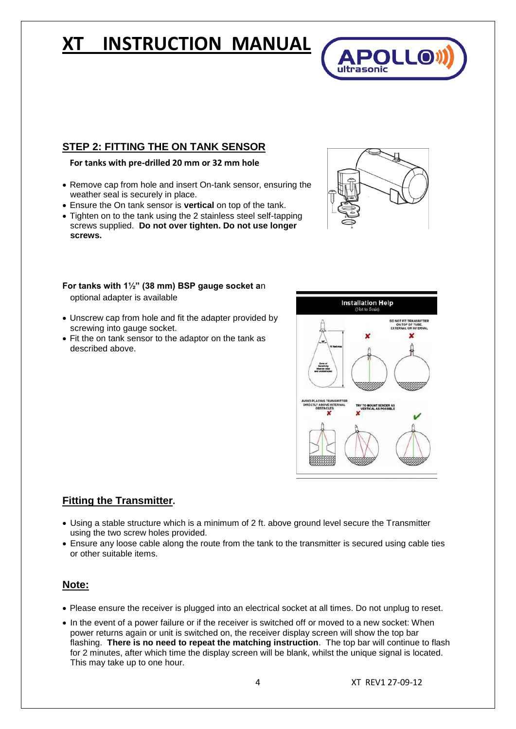## **STEP 2: FITTING THE ON TANK SENSOR**

#### **For tanks with pre-drilled 20 mm or 32 mm hole**

- Remove cap from hole and insert On-tank sensor, ensuring the weather seal is securely in place.
- Ensure the On tank sensor is **vertical** on top of the tank.
- Tighten on to the tank using the 2 stainless steel self-tapping screws supplied. **Do not over tighten. Do not use longer screws.**



**APOLL®** 

ultrasonic

## **For tanks with 1½" (38 mm) BSP gauge socket a**n

optional adapter is available

- Unscrew cap from hole and fit the adapter provided by screwing into gauge socket.
- Fit the on tank sensor to the adaptor on the tank as described above.



## **Fitting the Transmitter.**

- Using a stable structure which is a minimum of 2 ft. above ground level secure the Transmitter using the two screw holes provided.
- Ensure any loose cable along the route from the tank to the transmitter is secured using cable ties or other suitable items.

## **Note:**

- Please ensure the receiver is plugged into an electrical socket at all times. Do not unplug to reset.
- In the event of a power failure or if the receiver is switched off or moved to a new socket: When power returns again or unit is switched on, the receiver display screen will show the top bar flashing. **There is no need to repeat the matching instruction**. The top bar will continue to flash for 2 minutes, after which time the display screen will be blank, whilst the unique signal is located. This may take up to one hour.